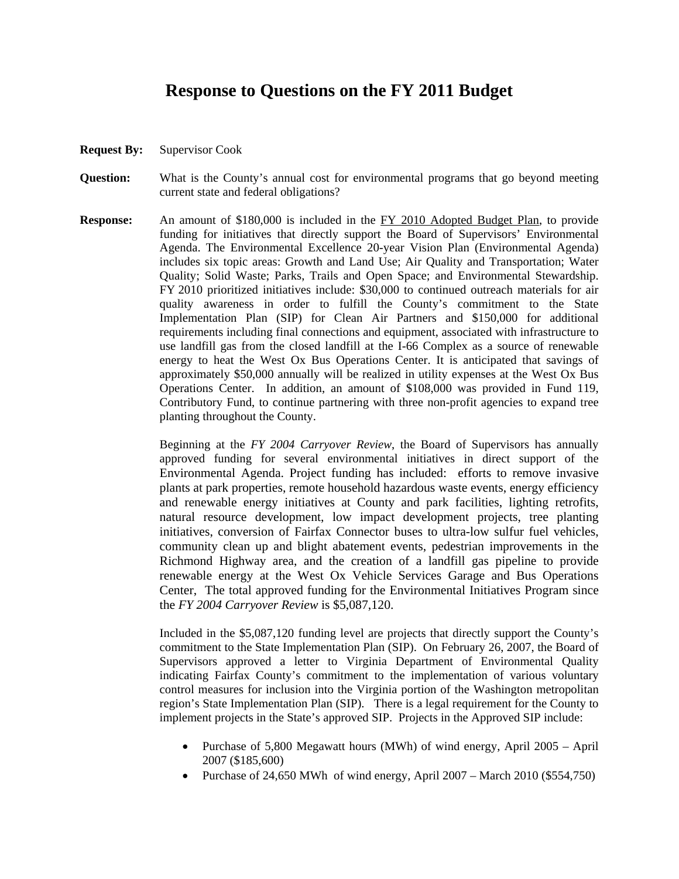## **Response to Questions on the FY 2011 Budget**

- **Request By:** Supervisor Cook
- **Question:** What is the County's annual cost for environmental programs that go beyond meeting current state and federal obligations?
- **Response:** An amount of \$180,000 is included in the FY 2010 Adopted Budget Plan, to provide funding for initiatives that directly support the Board of Supervisors' Environmental Agenda. The Environmental Excellence 20-year Vision Plan (Environmental Agenda) includes six topic areas: Growth and Land Use; Air Quality and Transportation; Water Quality; Solid Waste; Parks, Trails and Open Space; and Environmental Stewardship. FY 2010 prioritized initiatives include: \$30,000 to continued outreach materials for air quality awareness in order to fulfill the County's commitment to the State Implementation Plan (SIP) for Clean Air Partners and \$150,000 for additional requirements including final connections and equipment, associated with infrastructure to use landfill gas from the closed landfill at the I-66 Complex as a source of renewable energy to heat the West Ox Bus Operations Center. It is anticipated that savings of approximately \$50,000 annually will be realized in utility expenses at the West Ox Bus Operations Center. In addition, an amount of \$108,000 was provided in Fund 119, Contributory Fund, to continue partnering with three non-profit agencies to expand tree planting throughout the County.

Beginning at the *FY 2004 Carryover Review*, the Board of Supervisors has annually approved funding for several environmental initiatives in direct support of the Environmental Agenda. Project funding has included: efforts to remove invasive plants at park properties, remote household hazardous waste events, energy efficiency and renewable energy initiatives at County and park facilities, lighting retrofits, natural resource development, low impact development projects, tree planting initiatives, conversion of Fairfax Connector buses to ultra-low sulfur fuel vehicles, community clean up and blight abatement events, pedestrian improvements in the Richmond Highway area, and the creation of a landfill gas pipeline to provide renewable energy at the West Ox Vehicle Services Garage and Bus Operations Center, The total approved funding for the Environmental Initiatives Program since the *FY 2004 Carryover Review* is \$5,087,120.

 Included in the \$5,087,120 funding level are projects that directly support the County's commitment to the State Implementation Plan (SIP). On February 26, 2007, the Board of Supervisors approved a letter to Virginia Department of Environmental Quality indicating Fairfax County's commitment to the implementation of various voluntary control measures for inclusion into the Virginia portion of the Washington metropolitan region's State Implementation Plan (SIP). There is a legal requirement for the County to implement projects in the State's approved SIP. Projects in the Approved SIP include:

- Purchase of 5,800 Megawatt hours (MWh) of wind energy, April 2005 April 2007 (\$185,600)
- Purchase of 24,650 MWh of wind energy, April 2007 March 2010 (\$554,750)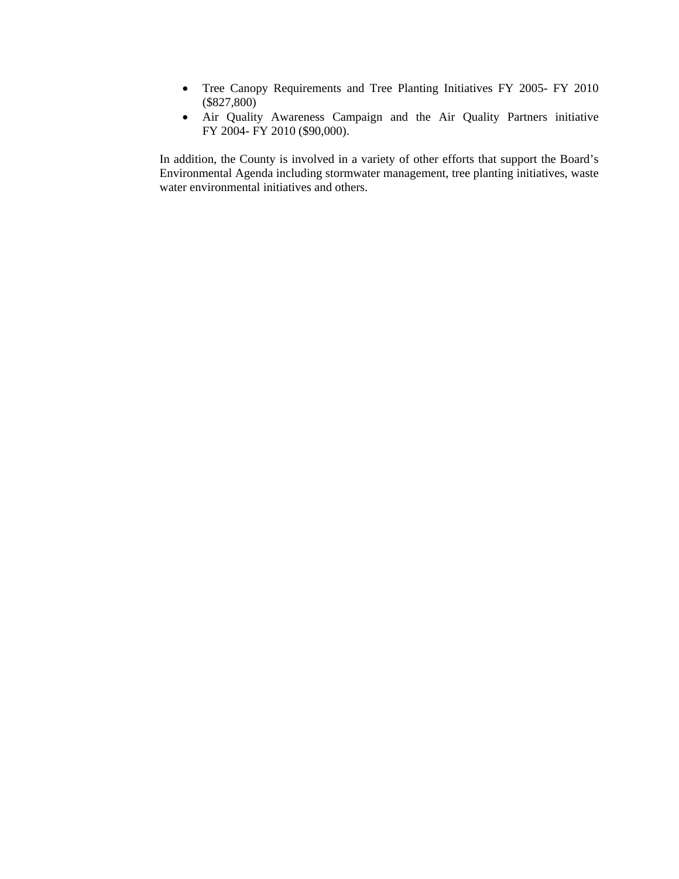- Tree Canopy Requirements and Tree Planting Initiatives FY 2005- FY 2010 (\$827,800)
- Air Quality Awareness Campaign and the Air Quality Partners initiative FY 2004- FY 2010 (\$90,000).

In addition, the County is involved in a variety of other efforts that support the Board's Environmental Agenda including stormwater management, tree planting initiatives, waste water environmental initiatives and others.